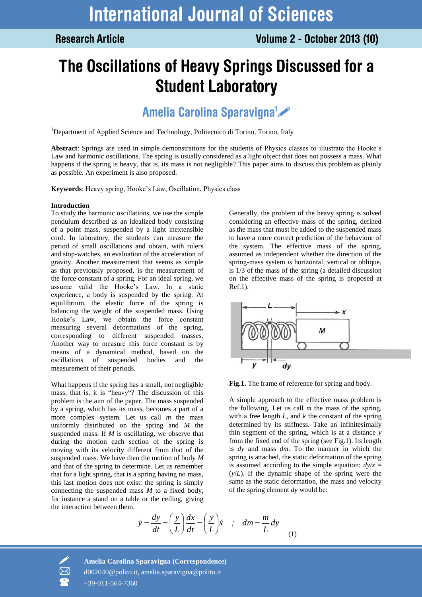**Research Article** 

# The Oscillations of Heavy Springs Discussed for a **Student Laboratory**

## Amelia Carolina Sparavigna<sup>1</sup>

<sup>1</sup>Department of Applied Science and Technology, Politecnico di Torino, Torino, Italy

**Abstract**: Springs are used in simple demonstrations for the students of Physics classes to illustrate the Hooke's Law and harmonic oscillations. The spring is usually considered as a light object that does not possess a mass. What happens if the spring is heavy, that is, its mass is not negligible? This paper aims to discuss this problem as plainly as possible. An experiment is also proposed.

**Keywords**: Heavy spring, Hooke's Law, Oscillation, Physics class

### **Introduction**

To study the harmonic oscillations, we use the simple pendulum described as an idealized body consisting of a point mass, suspended by a light inextensible cord. In laboratory, the students can measure the period of small oscillations and obtain, with rulers and stop-watches, an evaluation of the acceleration of gravity. Another measurement that seems as simple as that previously proposed, is the measurement of the force constant of a spring. For an ideal spring, we assume valid the Hooke's Law. In a static experience, a body is suspended by the spring. At equilibrium, the elastic force of the spring is balancing the weight of the suspended mass. Using Hooke's Law, we obtain the force constant measuring several deformations of the spring, corresponding to different suspended masses. Another way to measure this force constant is by means of a dynamical method, based on the oscillations of suspended bodies and the measurement of their periods.

What happens if the spring has a small, not negligible mass, that is, it is "heavy"? The discussion of this problem is the aim of the paper. The mass suspended by a spring, which has its mass, becomes a part of a more complex system. Let us call *m* the mass uniformly distributed on the spring and *M* the suspended mass. If *M* is oscillating, we observe that during the motion each section of the spring is moving with its velocity different from that of the suspended mass. We have then the motion of body *M* and that of the spring to determine. Let us remember that for a light spring, that is a spring having no mass, this last motion does not exist: the spring is simply connecting the suspended mass *M* to a fixed body, for instance a stand on a table or the ceiling, giving the interaction between them.

Generally, the problem of the heavy spring is solved considering an effective mass of the spring, defined as the mass that must be added to the suspended mass to have a more correct prediction of the behaviour of the system. The effective mass of the spring, assumed as independent whether the direction of the spring-mass system is horizontal, vertical or oblique, is 1/3 of the mass of the spring (a detailed discussion on the effective mass of the spring is proposed at Ref.1).



**Fig.1.** The frame of reference for spring and body.

A simple approach to the effective mass problem is the following. Let us call *m* the mass of the spring, with a free length *L,* and *k* the constant of the spring determined by its stiffness. Take an infinitesimally thin segment of the spring, which is at a distance *y* from the fixed end of the spring (see Fig.1). Its length is *dy* and mass *dm*. To the manner in which the spring is attached, the static deformation of the spring is assumed according to the simple equation:  $dy/x =$ (*y*/*L*). If the dynamic shape of the spring were the same as the static deformation, the mass and velocity of the spring element *dy* would be:

$$
\dot{y} = \frac{dy}{dt} = \left(\frac{y}{L}\right) \frac{dx}{dt} = \left(\frac{y}{L}\right) \dot{x} \quad ; \quad dm = \frac{m}{L} dy \tag{1}
$$



 **Amelia Carolina Sparavigna (Correspondence)** d002040@polito.it, amelia.sparavigna@polito.it +39-011-564-7360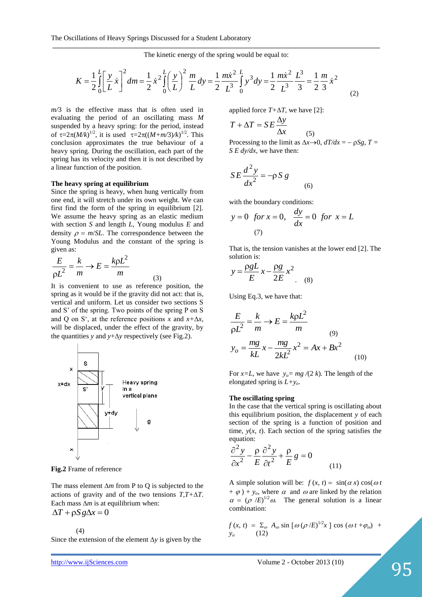The kinetic energy of the spring would be equal to:  
\n
$$
K = \frac{1}{2} \int_{0}^{L} \left[ \frac{y}{L} \dot{x} \right]^{2} dm = \frac{1}{2} \dot{x}^{2} \int_{0}^{L} \left( \frac{y}{L} \right)^{2} \frac{m}{L} dy = \frac{1}{2} \frac{m \dot{x}^{2}}{L^{3}} \int_{0}^{L} y^{3} dy = \frac{1}{2} \frac{m \dot{x}^{2}}{L^{3}} \frac{L^{3}}{3} = \frac{1}{2} \frac{m}{3} \dot{x}^{2}
$$
\n(2)

*m/*3 is the effective mass that is often used in evaluating the period of an oscillating mass *M*  suspended by a heavy spring: for the period, instead of  $\tau = 2\pi (M/k)^{1/2}$ , it is used  $\tau = 2\pi ((M+m/3)/k)^{1/2}$ . This conclusion approximates the true behaviour of a heavy spring. During the oscillation, each part of the spring has its velocity and then it is not described by a linear function of the position.

#### **The heavy spring at equilibrium**

Since the spring is heavy, when hung vertically from one end, it will stretch under its own weight. We can first find the form of the spring in equilibrium [2]. We assume the heavy spring as an elastic medium with section *S* and length *L*, Young modulus *E* and density  $\rho = m/SL$ . The correspondence between the Young Modulus and the constant of the spring is given as:

$$
\frac{E}{\rho L^2} = \frac{k}{m} \rightarrow E = \frac{k \rho L^2}{m}
$$
 (3)

It is convenient to use as reference position, the spring as it would be if the gravity did not act: that is, vertical and uniform. Let us consider two sections S and S' of the spring. Two points of the spring P on S and Q on S<sup>c</sup>, at the reference positions *x* and  $x + \Delta x$ , will be displaced, under the effect of the gravity, by the quantities *y* and *y*+ $\Delta$ *y* respectively (see Fig.2).



**Fig.2** Frame of reference

The mass element  $\Delta m$  from P to Q is subjected to the actions of gravity and of the two tensions *T,T+T*. Each mass  $\Delta m$  is at equilibrium when:

$$
\Delta T + \rho S g \Delta x = 0
$$

(4)

Since the extension of the element  $\Delta y$  is given by the

applied force  $T + \Delta T$ , we have [2]:

$$
T + \Delta T = SE \frac{\Delta y}{\Delta x}
$$
 (5)

Processing to the limit as  $\Delta x \rightarrow 0$ ,  $dT/dx = -\rho Sg$ ,  $T =$ *S E dy/dx*, we have then:

$$
SE\frac{d^2y}{dx^2} = -\rho S g \tag{6}
$$

with the boundary conditions:

$$
y = 0 \quad \text{for } x = 0, \quad \frac{dy}{dx} = 0 \quad \text{for } x = L
$$
\n
$$
\tag{7}
$$

That is, the tension vanishes at the lower end [2]. The solution is:

$$
y = \frac{\rho g L}{E} x - \frac{\rho g}{2E} x^2
$$
 (8)

Using Eq.3, we have that:

$$
\frac{E}{\rho L^2} = \frac{k}{m} \rightarrow E = \frac{k\rho L^2}{m}
$$
  

$$
y_o = \frac{mg}{kL}x - \frac{mg}{2kL^2}x^2 = Ax + Bx^2
$$
 (10)

For *x*=*L*, we have  $y_0 = mg/(2 k)$ . The length of the elongated spring is *L+yo*.

#### **The oscillating spring**

In the case that the vertical spring is oscillating about this equilibrium position, the displacement *y* of each section of the spring is a function of position and time,  $y(x, t)$ . Each section of the spring satisfies the equation:

$$
\frac{\partial^2 y}{\partial x^2} - \frac{\rho}{E} \frac{\partial^2 y}{\partial t^2} + \frac{\rho}{E} g = 0
$$
\n(11)

A simple solution will be:  $f(x, t) = \sin(\alpha x) \cos(\omega t)$  $+ \varphi$ ) + *y<sub>o</sub>*, where  $\alpha$  and  $\omega$  are linked by the relation  $\alpha = (\rho /E)^{1/2} \omega$ . The general solution is a linear combination:

$$
f(x, t) = \sum_{\omega} A_{\omega} \sin [\omega (\rho / E)^{1/2} x] \cos (\omega t + \varphi_{\omega}) + y_{\omega}
$$
 (12)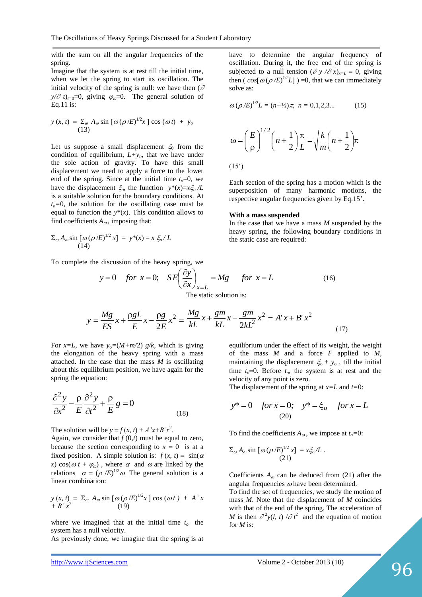with the sum on all the angular frequencies of the spring.

Imagine that the system is at rest till the initial time, when we let the spring to start its oscillation. The initial velocity of the spring is null: we have then  $(\partial$  $y/\partial t$ <sub>t=0</sub>=0, giving  $\varphi_{\omega}$ =0. The general solution of Eq.11 is:

$$
y(x, t) = \sum_{\omega} A_{\omega} \sin \left[\omega (\rho / E)^{1/2} x\right] \cos (\omega t) + y_o
$$
\n(13)

Let us suppose a small displacement  $\xi_0$  from the condition of equilibrium,  $L+y<sub>o</sub>$ , that we have under the sole action of gravity. To have this small displacement we need to apply a force to the lower end of the spring. Since at the initial time  $t_o=0$ , we have the displacement  $\zeta_o$ , the function  $y^*(x)=x\zeta_o/L$ is a suitable solution for the boundary conditions*.* At  $t<sub>o</sub>=0$ , the solution for the oscillating case must be equal to function the  $y^*(x)$ . This condition allows to find coefficients  $A_{\omega}$ , imposing that:

$$
\Sigma_{\omega} A_{\omega} \sin \left[ \omega (\rho / E)^{1/2} x \right] = y^*(x) = x \xi_{\omega} / L
$$
\n(14)

To complete the discussion of the heavy spring, we

have to determine the angular frequency of oscillation. During it, the free end of the spring is subjected to a null tension 
$$
(\partial y / \partial x)_{x=L} = 0
$$
, giving then  $(\cos[\omega(\rho/E)^{1/2}L]) = 0$ , that we can immediately solve as:

$$
\omega \left( \rho / E \right)^{1/2} L = (n + \frac{1}{2}) \pi, \ n = 0, 1, 2, 3 \dots \tag{15}
$$

$$
\omega = \left(\frac{E}{\rho}\right)^{1/2} \left(n + \frac{1}{2}\right) \frac{\pi}{L} = \sqrt{\frac{k}{m}} \left(n + \frac{1}{2}\right) \pi
$$
\n(15<sup>c</sup>)

Each section of the spring has a motion which is the superposition of many harmonic motions, the respective angular frequencies given by Eq.15'.

#### **With a mass suspended**

In the case that we have a mass *M* suspended by the heavy spring, the following boundary conditions in the static case are required:

$$
y = 0 \quad \text{for } x = 0; \quad SE\left(\frac{\partial y}{\partial x}\right)_{x=L} = Mg \quad \text{for } x = L
$$
 (16)

The static solution is:

$$
y = \frac{Mg}{ES}x + \frac{\rho g L}{E}x - \frac{\rho g}{2E}x^2 = \frac{Mg}{kL}x + \frac{gm}{kL}x - \frac{gm}{2kL^2}x^2 = A'x + B'x^2
$$
\n(17)

For *x*=*L*, we have  $y_0 = (M+m/2)$  *g*/*k*, which is giving the elongation of the heavy spring with a mass attached. In the case that the mass *M* is oscillating about this equilibrium position, we have again for the spring the equation:

$$
\frac{\partial^2 y}{\partial x^2} - \frac{\rho}{E} \frac{\partial^2 y}{\partial t^2} + \frac{\rho}{E} g = 0
$$
\n(18)

The solution will be  $y = f(x, t) + A'x+B'x^2$ .

Again, we consider that  $f(0,t)$  must be equal to zero, because the section corresponding to  $x = 0$  is at a fixed position. A simple solution is:  $f(x, t) = \sin(\alpha$ *x*) cos( $\omega t + \varphi_{\omega}$ ), where  $\alpha$  and  $\omega$  are linked by the relations  $\alpha = (\rho /E)^{1/2} \omega$ . The general solution is a linear combination:

$$
y(x, t) = \sum_{\omega} A_{\omega} \sin \left[\omega (\rho / E)^{1/2} x\right] \cos (\omega t) + A' x
$$
  
+ 
$$
B' x^2
$$
 (19)

where we imagined that at the initial time  $t<sub>o</sub>$  the system has a null velocity.

As previously done, we imagine that the spring is at

equilibrium under the effect of its weight, the weight of the mass *M* and a force *F* applied to *M*, maintaining the displacement  $\xi_0 + y_o$ , till the initial time  $t_o=0$ . Before  $t_o$ , the system is at rest and the velocity of any point is zero.

The displacement of the spring at *x=L* and *t=*0:

$$
y^* = 0
$$
 for  $x = 0$ ;  $y^* = \xi_o$  for  $x = L$   
(20)

To find the coefficients  $A_{\omega}$ , we impose at  $t_{\omega} = 0$ :

$$
\Sigma_{\omega} A_{\omega} \sin \left[\omega (\rho / E)^{1/2} x\right] = x \xi_{o} / L .
$$
  
(21)

Coefficients  $A_{\omega}$  can be deduced from (21) after the angular frequencies  $\omega$  have been determined.

To find the set of frequencies, we study the motion of mass *M*. Note that the displacement of *M* coincides with that of the end of the spring. The acceleration of *M* is then  $\partial^2 y(l, t) / \partial t^2$  and the equation of motion for *M* is: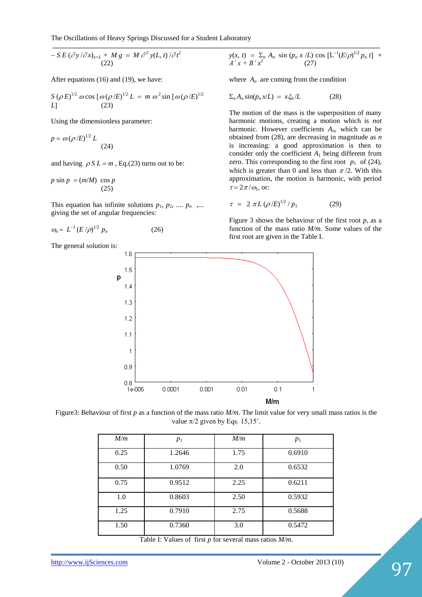$$
- S E \left( \frac{\partial y}{\partial x} \right)_{x=L} + M g = M \frac{\partial^2 y}{L, t} \frac{\partial^2 y}{\partial t^2}
$$
\n(22)

After equations (16) and (19), we have:

$$
S(\rho E)^{1/2} \omega \cos [\omega (\rho / E)^{1/2} L = m \omega^2 \sin [\omega (\rho / E)^{1/2} L]
$$
  
L] (23)

Using the dimensionless parameter:

$$
p = \omega \left( \rho / E \right)^{1/2} L \tag{24}
$$

and having  $\rho S L = m$ , Eq.(23) turns out to be:

$$
p \sin p = (m/M) \cos p
$$
\n(25)

This equation has infinite solutions  $p_1, p_2, \ldots, p_n$ ,... giving the set of angular frequencies:

$$
\omega_n = L^{-1} (E/\rho)^{1/2} p_n \tag{26}
$$

The general solution is:

 $y(x, t) = \sum_n A_n \sin (p_n x /L) \cos [L^{-1}(E/\rho)^{1/2} p_n t]$  +  $A'x + B'x^2$  (27)

where  $A_n$  are coming from the condition

$$
\Sigma_n A_n \sin(p_n x/L) = x \xi_0/L \tag{28}
$$

The motion of the mass is the superposition of many harmonic motions, creating a motion which is *not* harmonic. However coefficients *An*, which can be obtained from (28), are decreasing in magnitude as *n*  is increasing: a good approximation is then to consider only the coefficient  $A_1$  being different from zero. This corresponding to the first root  $p_1$  of (24), which is greater than 0 and less than  $\pi/2$ . With this approximation, the motion is harmonic, with period  $\tau = 2\pi/\omega_1$ , or:

$$
\tau = 2 \pi L \left( \rho / E \right)^{1/2} / p_1 \tag{29}
$$

Figure 3 shows the behaviour of the first root  $p$ , as a function of the mass ratio *M/m*. Some values of the first root are given in the Table I.



Figure3: Behaviour of first *p* as a function of the mass ratio *M/m*. The limit value for very small mass ratios is the value  $\pi/2$  given by Eqs. 15,15'.

| M/m  | $p_1$  | M/m  | $p_1$  |
|------|--------|------|--------|
| 0.25 | 1.2646 | 1.75 | 0.6910 |
| 0.50 | 1.0769 | 2.0  | 0.6532 |
| 0.75 | 0.9512 | 2.25 | 0.6211 |
| 1.0  | 0.8603 | 2.50 | 0.5932 |
| 1.25 | 0.7910 | 2.75 | 0.5688 |
| 1.50 | 0.7360 | 3.0  | 0.5472 |

Table I: Values of first *p* for several mass ratios *M/m*.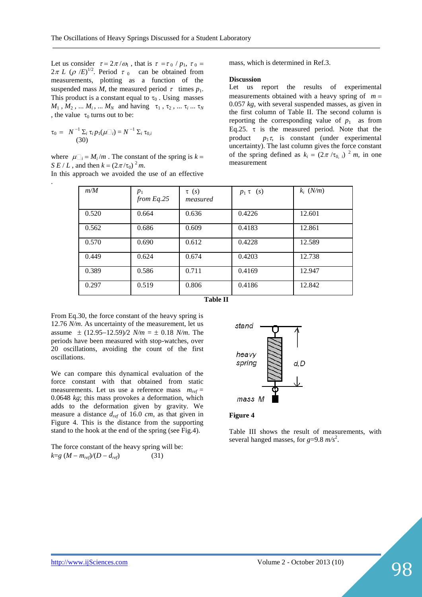Let us consider  $\tau = 2\pi/\omega_1$ , that is  $\tau = \tau_0/p_1$ ,  $\tau_0 =$  $2\pi L$  ( $\rho$  /*E*)<sup>1/2</sup>. Period  $\tau_0$  can be obtained from measurements, plotting as a function of the suspended mass *M*, the measured period  $\tau$  times  $p_1$ . This product is a constant equal to  $\tau_0$ . Using masses  $M_1$ ,  $M_2$ , ...  $M_i$ , ...  $M_N$  and having  $\tau_1$ ,  $\tau_2$ , ...  $\tau_i$  ...  $\tau_N$ , the value  $\tau_0$  turns out to be:

$$
\tau_0 = N^{-1} \Sigma_i \tau_i p_1(\mu \square_i) = N^{-1} \Sigma_i \tau_{0,i}
$$
\n(30)

.

where  $\mu \Box_i = M_i/m$ . The constant of the spring is  $k =$ *S E / L*, and then  $k = (2\pi/\tau_0)^2 m$ .

In this approach we avoided the use of an effective

mass, which is determined in Ref.3.

#### **Discussion**

Let us report the results of experimental measurements obtained with a heavy spring of  $m =$ 0.057 *kg*, with several suspended masses, as given in the first column of Table II. The second column is reporting the corresponding value of  $p_1$  as from Eq.25.  $\tau$  is the measured period. Note that the product  $p_1 \tau$ , is constant (under experimental uncertainty). The last column gives the force constant of the spring defined as  $k_i = (2\pi / \tau_0)^2 m$ , in one measurement

| m/M   | $p_1$<br>from Eq. 25 | $\tau$ (s)<br>measured | $p_1 \tau$ (s) | $k_i$ (N/m) |
|-------|----------------------|------------------------|----------------|-------------|
| 0.520 | 0.664                | 0.636                  | 0.4226         | 12.601      |
| 0.562 | 0.686                | 0.609                  | 0.4183         | 12.861      |
| 0.570 | 0.690                | 0.612                  | 0.4228         | 12.589      |
| 0.449 | 0.624                | 0.674                  | 0.4203         | 12.738      |
| 0.389 | 0.586                | 0.711                  | 0.4169         | 12.947      |
| 0.297 | 0.519                | 0.806                  | 0.4186         | 12.842      |

**Table II**

From Eq.30, the force constant of the heavy spring is 12.76 *N/m*. As uncertainty of the measurement, let us assume  $\pm$  (12.95–12.59)/2 *N/m* =  $\pm$  0.18 *N/m*. The periods have been measured with stop-watches, over 20 oscillations, avoiding the count of the first oscillations.

We can compare this dynamical evaluation of the force constant with that obtained from static measurements. Let us use a reference mass  $m_{ref} =$ 0.0648 *kg*; this mass provokes a deformation, which adds to the deformation given by gravity. We measure a distance *dref* of 16.0 *cm*, as that given in Figure 4. This is the distance from the supporting stand to the hook at the end of the spring (see Fig.4).

The force constant of the heavy spring will be:  $k = g(M - m_{ref})/(D - d_{ref})$  (31)



#### **Figure 4**

Table III shows the result of measurements, with several hanged masses, for *g*=9.8 *m/s*<sup>2</sup> .